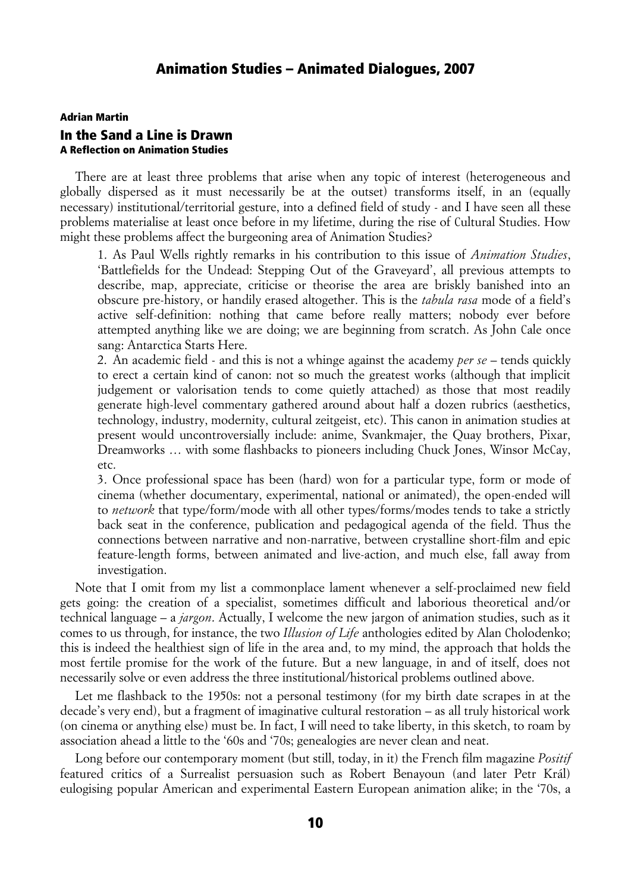## Adrian Martin In the Sand a Line is Drawn A Reflection on Animation Studies

There are at least three problems that arise when any topic of interest (heterogeneous and globally dispersed as it must necessarily be at the outset) transforms itself, in an (equally necessary) institutional/territorial gesture, into a defined field of study - and I have seen all these problems materialise at least once before in my lifetime, during the rise of Cultural Studies. How might these problems affect the burgeoning area of Animation Studies?

1. As Paul Wells rightly remarks in his contribution to this issue of *Animation Studies*, 'Battlefields for the Undead: Stepping Out of the Graveyard', all previous attempts to describe, map, appreciate, criticise or theorise the area are briskly banished into an obscure pre-history, or handily erased altogether. This is the *tabula rasa* mode of a field's active self-definition: nothing that came before really matters; nobody ever before attempted anything like we are doing; we are beginning from scratch. As John Cale once sang: Antarctica Starts Here.

2. An academic field - and this is not a whinge against the academy *per se* – tends quickly to erect a certain kind of canon: not so much the greatest works (although that implicit judgement or valorisation tends to come quietly attached) as those that most readily generate high-level commentary gathered around about half a dozen rubrics (aesthetics, technology, industry, modernity, cultural zeitgeist, etc). This canon in animation studies at present would uncontroversially include: anime, Svankmajer, the Quay brothers, Pixar, Dreamworks … with some flashbacks to pioneers including Chuck Jones, Winsor McCay, etc.

3. Once professional space has been (hard) won for a particular type, form or mode of cinema (whether documentary, experimental, national or animated), the open-ended will to *network* that type/form/mode with all other types/forms/modes tends to take a strictly back seat in the conference, publication and pedagogical agenda of the field. Thus the connections between narrative and non-narrative, between crystalline short-film and epic feature-length forms, between animated and live-action, and much else, fall away from investigation.

Note that I omit from my list a commonplace lament whenever a self-proclaimed new field gets going: the creation of a specialist, sometimes difficult and laborious theoretical and/or technical language – a *jargon*. Actually, I welcome the new jargon of animation studies, such as it comes to us through, for instance, the two *Illusion of Life* anthologies edited by Alan Cholodenko; this is indeed the healthiest sign of life in the area and, to my mind, the approach that holds the most fertile promise for the work of the future. But a new language, in and of itself, does not necessarily solve or even address the three institutional/historical problems outlined above.

Let me flashback to the 1950s: not a personal testimony (for my birth date scrapes in at the decade's very end), but a fragment of imaginative cultural restoration – as all truly historical work (on cinema or anything else) must be. In fact, I will need to take liberty, in this sketch, to roam by association ahead a little to the '60s and '70s; genealogies are never clean and neat.

Long before our contemporary moment (but still, today, in it) the French film magazine *Positif* featured critics of a Surrealist persuasion such as Robert Benayoun (and later Petr Král) eulogising popular American and experimental Eastern European animation alike; in the '70s, a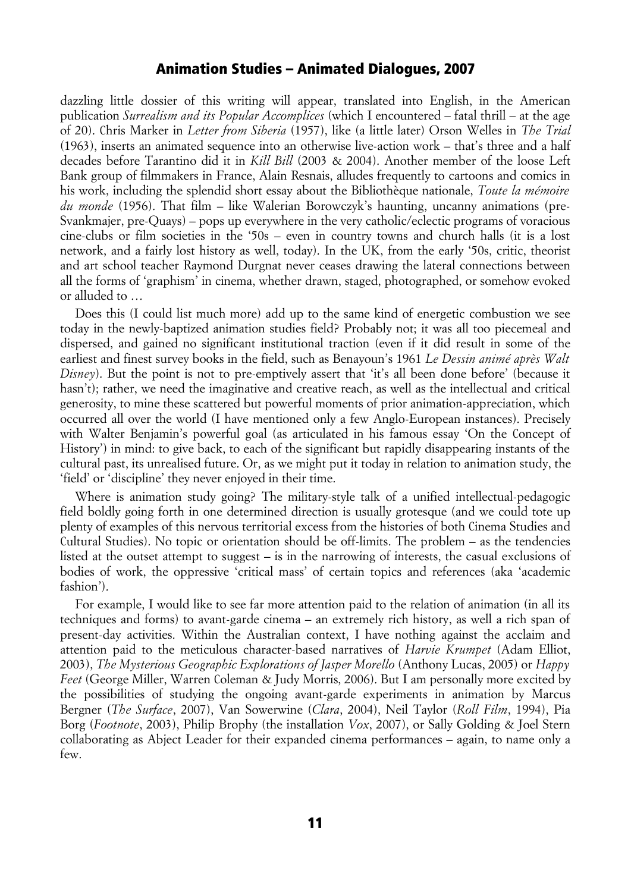### Animation Studies – Animated Dialogues, 2007

dazzling little dossier of this writing will appear, translated into English, in the American publication *Surrealism and its Popular Accomplices* (which I encountered – fatal thrill – at the age of 20). Chris Marker in *Letter from Siberia* (1957), like (a little later) Orson Welles in *The Trial* (1963), inserts an animated sequence into an otherwise live-action work – that's three and a half decades before Tarantino did it in *Kill Bill* (2003 & 2004). Another member of the loose Left Bank group of filmmakers in France, Alain Resnais, alludes frequently to cartoons and comics in his work, including the splendid short essay about the Bibliothèque nationale, *Toute la mémoire du monde* (1956). That film – like Walerian Borowczyk's haunting, uncanny animations (pre-Svankmajer, pre-Quays) – pops up everywhere in the very catholic/eclectic programs of voracious cine-clubs or film societies in the '50s – even in country towns and church halls (it is a lost network, and a fairly lost history as well, today). In the UK, from the early '50s, critic, theorist and art school teacher Raymond Durgnat never ceases drawing the lateral connections between all the forms of 'graphism' in cinema, whether drawn, staged, photographed, or somehow evoked or alluded to …

Does this (I could list much more) add up to the same kind of energetic combustion we see today in the newly-baptized animation studies field? Probably not; it was all too piecemeal and dispersed, and gained no significant institutional traction (even if it did result in some of the earliest and finest survey books in the field, such as Benayoun's 1961 *Le Dessin animé après Walt Disney*). But the point is not to pre-emptively assert that 'it's all been done before' (because it hasn't); rather, we need the imaginative and creative reach, as well as the intellectual and critical generosity, to mine these scattered but powerful moments of prior animation-appreciation, which occurred all over the world (I have mentioned only a few Anglo-European instances). Precisely with Walter Benjamin's powerful goal (as articulated in his famous essay 'On the Concept of History') in mind: to give back, to each of the significant but rapidly disappearing instants of the cultural past, its unrealised future. Or, as we might put it today in relation to animation study, the 'field' or 'discipline' they never enjoyed in their time.

Where is animation study going? The military-style talk of a unified intellectual-pedagogic field boldly going forth in one determined direction is usually grotesque (and we could tote up plenty of examples of this nervous territorial excess from the histories of both Cinema Studies and Cultural Studies). No topic or orientation should be off-limits. The problem – as the tendencies listed at the outset attempt to suggest – is in the narrowing of interests, the casual exclusions of bodies of work, the oppressive 'critical mass' of certain topics and references (aka 'academic fashion').

For example, I would like to see far more attention paid to the relation of animation (in all its techniques and forms) to avant-garde cinema – an extremely rich history, as well a rich span of present-day activities. Within the Australian context, I have nothing against the acclaim and attention paid to the meticulous character-based narratives of *Harvie Krumpet* (Adam Elliot, 2003), *The Mysterious Geographic Explorations of Jasper Morello* (Anthony Lucas, 2005) or *Happy Feet* (George Miller, Warren Coleman & Judy Morris, 2006). But I am personally more excited by the possibilities of studying the ongoing avant-garde experiments in animation by Marcus Bergner (*The Surface*, 2007), Van Sowerwine (*Clara*, 2004), Neil Taylor (*Roll Film*, 1994), Pia Borg (*Footnote*, 2003), Philip Brophy (the installation *Vox*, 2007), or Sally Golding & Joel Stern collaborating as Abject Leader for their expanded cinema performances – again, to name only a few.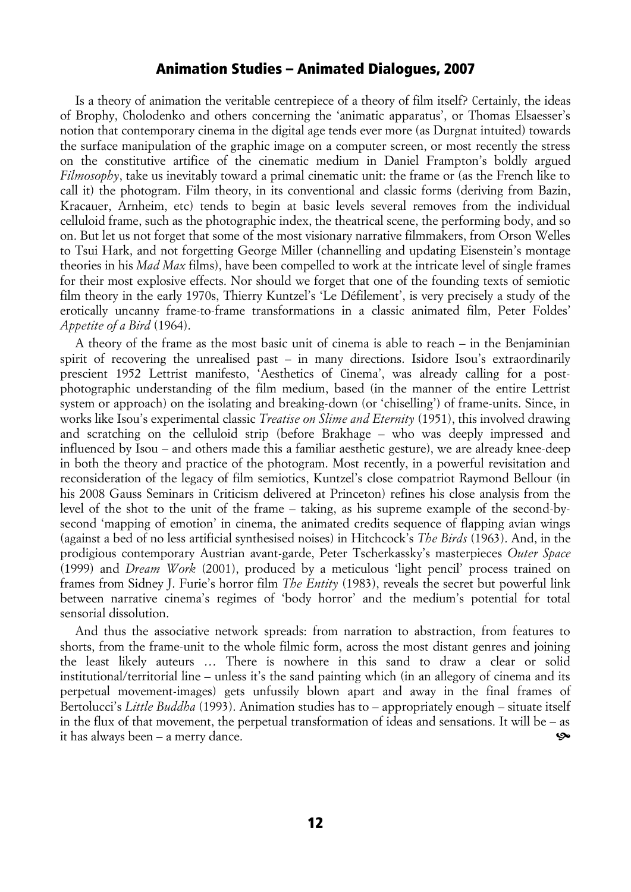## Animation Studies – Animated Dialogues, 2007

Is a theory of animation the veritable centrepiece of a theory of film itself? Certainly, the ideas of Brophy, Cholodenko and others concerning the 'animatic apparatus', or Thomas Elsaesser's notion that contemporary cinema in the digital age tends ever more (as Durgnat intuited) towards the surface manipulation of the graphic image on a computer screen, or most recently the stress on the constitutive artifice of the cinematic medium in Daniel Frampton's boldly argued *Filmosophy*, take us inevitably toward a primal cinematic unit: the frame or (as the French like to call it) the photogram. Film theory, in its conventional and classic forms (deriving from Bazin, Kracauer, Arnheim, etc) tends to begin at basic levels several removes from the individual celluloid frame, such as the photographic index, the theatrical scene, the performing body, and so on. But let us not forget that some of the most visionary narrative filmmakers, from Orson Welles to Tsui Hark, and not forgetting George Miller (channelling and updating Eisenstein's montage theories in his *Mad Max* films), have been compelled to work at the intricate level of single frames for their most explosive effects. Nor should we forget that one of the founding texts of semiotic film theory in the early 1970s, Thierry Kuntzel's 'Le Défilement', is very precisely a study of the erotically uncanny frame-to-frame transformations in a classic animated film, Peter Foldes' *Appetite of a Bird* (1964).

A theory of the frame as the most basic unit of cinema is able to reach – in the Benjaminian spirit of recovering the unrealised past – in many directions. Isidore Isou's extraordinarily prescient 1952 Lettrist manifesto, 'Aesthetics of Cinema', was already calling for a postphotographic understanding of the film medium, based (in the manner of the entire Lettrist system or approach) on the isolating and breaking-down (or 'chiselling') of frame-units. Since, in works like Isou's experimental classic *Treatise on Slime and Eternity* (1951), this involved drawing and scratching on the celluloid strip (before Brakhage – who was deeply impressed and influenced by Isou – and others made this a familiar aesthetic gesture), we are already knee-deep in both the theory and practice of the photogram. Most recently, in a powerful revisitation and reconsideration of the legacy of film semiotics, Kuntzel's close compatriot Raymond Bellour (in his 2008 Gauss Seminars in Criticism delivered at Princeton) refines his close analysis from the level of the shot to the unit of the frame – taking, as his supreme example of the second-bysecond 'mapping of emotion' in cinema, the animated credits sequence of flapping avian wings (against a bed of no less artificial synthesised noises) in Hitchcock's *The Birds* (1963). And, in the prodigious contemporary Austrian avant-garde, Peter Tscherkassky's masterpieces *Outer Space* (1999) and *Dream Work* (2001), produced by a meticulous 'light pencil' process trained on frames from Sidney J. Furie's horror film *The Entity* (1983), reveals the secret but powerful link between narrative cinema's regimes of 'body horror' and the medium's potential for total sensorial dissolution.

And thus the associative network spreads: from narration to abstraction, from features to shorts, from the frame-unit to the whole filmic form, across the most distant genres and joining the least likely auteurs … There is nowhere in this sand to draw a clear or solid institutional/territorial line – unless it's the sand painting which (in an allegory of cinema and its perpetual movement-images) gets unfussily blown apart and away in the final frames of Bertolucci's *Little Buddha* (1993). Animation studies has to – appropriately enough – situate itself in the flux of that movement, the perpetual transformation of ideas and sensations. It will be – as it has always been – a merry dance. ^